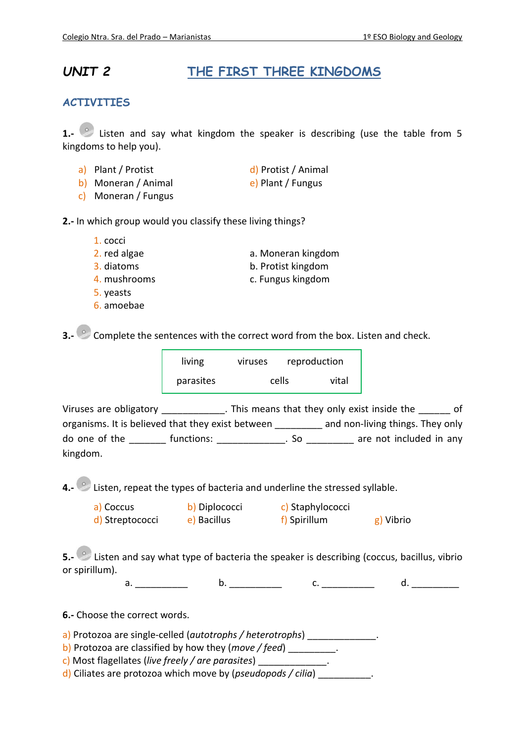## *UNIT 2* **THE FIRST THREE KINGDOMS**

## **ACTIVITIES**

**1.-** 2 Listen and say what kingdom the speaker is describing (use the table from 5 kingdoms to help you).

- a) Plant / Protist d) Protist / Animal
	-
- b) Moneran / Animal e) Plant / Fungus
- c) Moneran / Fungus
- 

**2.-** In which group would you classify these living things?

- 1. cocci
- 2. red algae a. Moneran kingdom
- 
- 
- 5. yeasts
- 6. amoebae
- 
- **3. diatoms b. Protist kingdom**
- 4. mushrooms c. Fungus kingdom

**3.-** Complete the sentences with the correct word from the box. Listen and check.

| living    | viruses |       | reproduction |
|-----------|---------|-------|--------------|
| parasites |         | cells | vital        |

| Viruses are obligatory |                                                   |      | . This means that they only exist inside the | οf |
|------------------------|---------------------------------------------------|------|----------------------------------------------|----|
|                        | organisms. It is believed that they exist between |      | and non-living things. They only             |    |
| do one of the          | functions:                                        | . 50 | are not included in any                      |    |
| kingdom.               |                                                   |      |                                              |    |

**4.-** Listen, repeat the types of bacteria and underline the stressed syllable.

- a) Coccus b) Diplococci c) Staphylococci d) Streptococci e) Bacillus f) Spirillum g) Vibrio
	-

**5.-** Listen and say what type of bacteria the speaker is describing (coccus, bacillus, vibrio or spirillum).

a. <u>b. c. d.</u>

**6.-** Choose the correct words.

a) Protozoa are single-celled (*autotrophs / heterotrophs*) entitled and the control

b) Protozoa are classified by how they (*move / feed*) \_\_\_\_\_\_\_\_\_.

c) Most flagellates (*live freely / are parasites*) \_\_\_\_\_\_\_\_\_\_\_\_\_.

d) Ciliates are protozoa which move by (*pseudopods / cilia*) extending